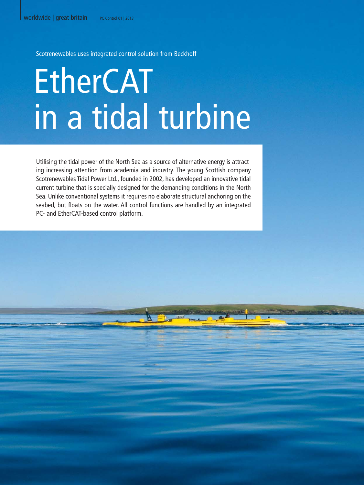Scotrenewables uses integrated control solution from Beckhoff

## **EtherCAT** in a tidal turbine

Utilising the tidal power of the North Sea as a source of alternative energy is attracting increasing attention from academia and industry. The young Scottish company Scotrenewables Tidal Power Ltd., founded in 2002, has developed an innovative tidal current turbine that is specially designed for the demanding conditions in the North Sea. Unlike conventional systems it requires no elaborate structural anchoring on the seabed, but floats on the water. All control functions are handled by an integrated PC- and EtherCAT-based control platform.

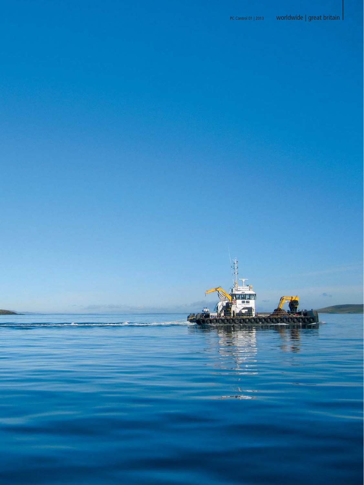PC Control 01 | 2013 worldwide | great britain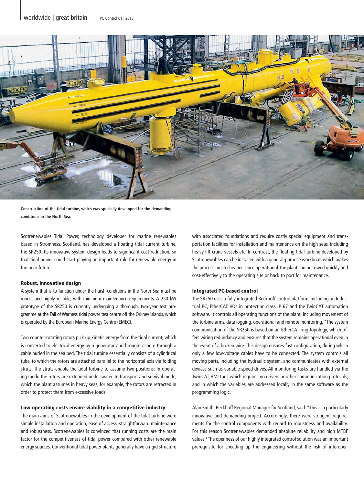

**Construction of the tidal turbine, which was specially developed for the demanding conditions in the North Sea.**

Scotrenewables Tidal Power, technology developer for marine renewables based in Stromness, Scotland, has developed a floating tidal current turbine, the SR250. Its innovative system design leads to significant cost reduction, so that tidal power could start playing an important role for renewable energy in the near future.

## Robust, innovative design

A system that is to function under the harsh conditions in the North Sea must be robust and highly reliable, with minimum maintenance requirements. A 250 kW prototype of the SR250 is currently undergoing a thorough, two-year test programme at the Fall of Warness tidal power test centre off the Orkney islands, which is operated by the European Marine Energy Centre (EMEC).

Two counter-rotating rotors pick up kinetic energy from the tidal current, which is converted to electrical energy by a generator and brought ashore through a cable buried in the sea bed. The tidal turbine essentially consists of a cylindrical tube, to which the rotors are attached parallel to the horizontal axis via folding struts. The struts enable the tidal turbine to assume two positions: In operating mode the rotors are extended under water. In transport and survival mode, which the plant assumes in heavy seas, for example, the rotors are retracted in order to protect them from excessive loads.

## Low operating costs ensure viability in a competitive industry

The main aims of Scotrenewables in the development of the tidal turbine were simple installation and operation, ease of access, straightforward maintenance and robustness. Scotrenewables is convinced that running costs are the main factor for the competitiveness of tidal power compared with other renewable energy sources. Conventional tidal power plants generally have a rigid structure

with associated foundations and require costly special equipment and transportation facilities for installation and maintenance on the high seas, including heavy lift crane vessels etc. In contrast, the floating tidal turbine developed by Scotrenewables can be installed with a general-purpose workboat, which makes the process much cheaper. Once operational, the plant can be towed quickly and cost-effectively to the operating site or back to port for maintenance.

## Integrated PC-based control

The SR250 uses a fully integrated Beckhoff control platform, including an Industrial PC, EtherCAT I/Os in protection class IP 67 and the TwinCAT automation software. It controls all operating functions of the plant, including movement of the turbine arms, data logging, operational and remote monitoring. "The system communication of the SR250 is based on an EtherCAT ring topology, which offers wiring redundancy and ensures that the system remains operational even in the event of a broken wire. This design ensures fast configuration, during which only a few low-voltage cables have to be connected. The system controls all moving parts, including the hydraulic system, and communicates with external devices such as variable-speed drives. All monitoring tasks are handled via the TwinCAT HMI tool, which requires no drivers or other communication protocols, and in which the variables are addressed locally in the same software as the programming logic.

Alan Smith, Beckhoff Regional Manager for Scotland, said: "This is a particularly innovative and demanding project. Accordingly, there were stringent requirements for the control components with regard to robustness and availability. For this reason Scotrenewables demanded absolute reliability and high MTBF values.1 The openness of our highly integrated control solution was an important prerequisite for speeding up the engineering without the risk of interoper-